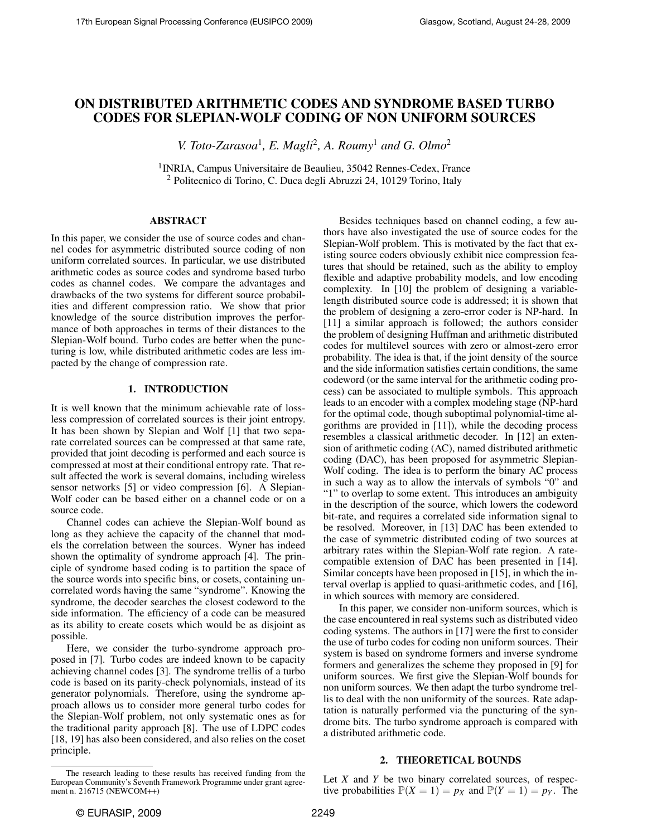# ON DISTRIBUTED ARITHMETIC CODES AND SYNDROME BASED TURBO CODES FOR SLEPIAN-WOLF CODING OF NON UNIFORM SOURCES

*V. Toto-Zarasoa<sup>1</sup>, E. Magli<sup>2</sup>, A. Roumy<sup>1</sup> and G. Olmo<sup>2</sup>* 

<sup>1</sup> INRIA, Campus Universitaire de Beaulieu, 35042 Rennes-Cedex, France <sup>2</sup> Politecnico di Torino, C. Duca degli Abruzzi 24, 10129 Torino, Italy

# ABSTRACT

In this paper, we consider the use of source codes and channel codes for asymmetric distributed source coding of non uniform correlated sources. In particular, we use distributed arithmetic codes as source codes and syndrome based turbo codes as channel codes. We compare the advantages and drawbacks of the two systems for different source probabilities and different compression ratio. We show that prior knowledge of the source distribution improves the performance of both approaches in terms of their distances to the Slepian-Wolf bound. Turbo codes are better when the puncturing is low, while distributed arithmetic codes are less impacted by the change of compression rate.

# 1. INTRODUCTION

It is well known that the minimum achievable rate of lossless compression of correlated sources is their joint entropy. It has been shown by Slepian and Wolf [1] that two separate correlated sources can be compressed at that same rate, provided that joint decoding is performed and each source is compressed at most at their conditional entropy rate. That result affected the work is several domains, including wireless sensor networks [5] or video compression [6]. A Slepian-Wolf coder can be based either on a channel code or on a source code.

Channel codes can achieve the Slepian-Wolf bound as long as they achieve the capacity of the channel that models the correlation between the sources. Wyner has indeed shown the optimality of syndrome approach [4]. The principle of syndrome based coding is to partition the space of the source words into specific bins, or cosets, containing uncorrelated words having the same "syndrome". Knowing the syndrome, the decoder searches the closest codeword to the side information. The efficiency of a code can be measured as its ability to create cosets which would be as disjoint as possible.

Here, we consider the turbo-syndrome approach proposed in [7]. Turbo codes are indeed known to be capacity achieving channel codes [3]. The syndrome trellis of a turbo code is based on its parity-check polynomials, instead of its generator polynomials. Therefore, using the syndrome approach allows us to consider more general turbo codes for the Slepian-Wolf problem, not only systematic ones as for the traditional parity approach [8]. The use of LDPC codes [18, 19] has also been considered, and also relies on the coset principle.

Besides techniques based on channel coding, a few authors have also investigated the use of source codes for the Slepian-Wolf problem. This is motivated by the fact that existing source coders obviously exhibit nice compression features that should be retained, such as the ability to employ flexible and adaptive probability models, and low encoding complexity. In [10] the problem of designing a variablelength distributed source code is addressed; it is shown that the problem of designing a zero-error coder is NP-hard. In [11] a similar approach is followed; the authors consider the problem of designing Huffman and arithmetic distributed codes for multilevel sources with zero or almost-zero error probability. The idea is that, if the joint density of the source and the side information satisfies certain conditions, the same codeword (or the same interval for the arithmetic coding process) can be associated to multiple symbols. This approach leads to an encoder with a complex modeling stage (NP-hard for the optimal code, though suboptimal polynomial-time algorithms are provided in [11]), while the decoding process resembles a classical arithmetic decoder. In [12] an extension of arithmetic coding (AC), named distributed arithmetic coding (DAC), has been proposed for asymmetric Slepian-Wolf coding. The idea is to perform the binary AC process in such a way as to allow the intervals of symbols "0" and "1" to overlap to some extent. This introduces an ambiguity in the description of the source, which lowers the codeword bit-rate, and requires a correlated side information signal to be resolved. Moreover, in [13] DAC has been extended to the case of symmetric distributed coding of two sources at arbitrary rates within the Slepian-Wolf rate region. A ratecompatible extension of DAC has been presented in [14]. Similar concepts have been proposed in [15], in which the interval overlap is applied to quasi-arithmetic codes, and [16], in which sources with memory are considered.

In this paper, we consider non-uniform sources, which is the case encountered in real systems such as distributed video coding systems. The authors in [17] were the first to consider the use of turbo codes for coding non uniform sources. Their system is based on syndrome formers and inverse syndrome formers and generalizes the scheme they proposed in [9] for uniform sources. We first give the Slepian-Wolf bounds for non uniform sources. We then adapt the turbo syndrome trellis to deal with the non uniformity of the sources. Rate adaptation is naturally performed via the puncturing of the syndrome bits. The turbo syndrome approach is compared with a distributed arithmetic code.

## 2. THEORETICAL BOUNDS

Let *X* and *Y* be two binary correlated sources, of respective probabilities  $\mathbb{P}(X = 1) = p_X$  and  $\mathbb{P}(Y = 1) = p_Y$ . The

The research leading to these results has received funding from the European Community's Seventh Framework Programme under grant agreement n. 216715 (NEWCOM++)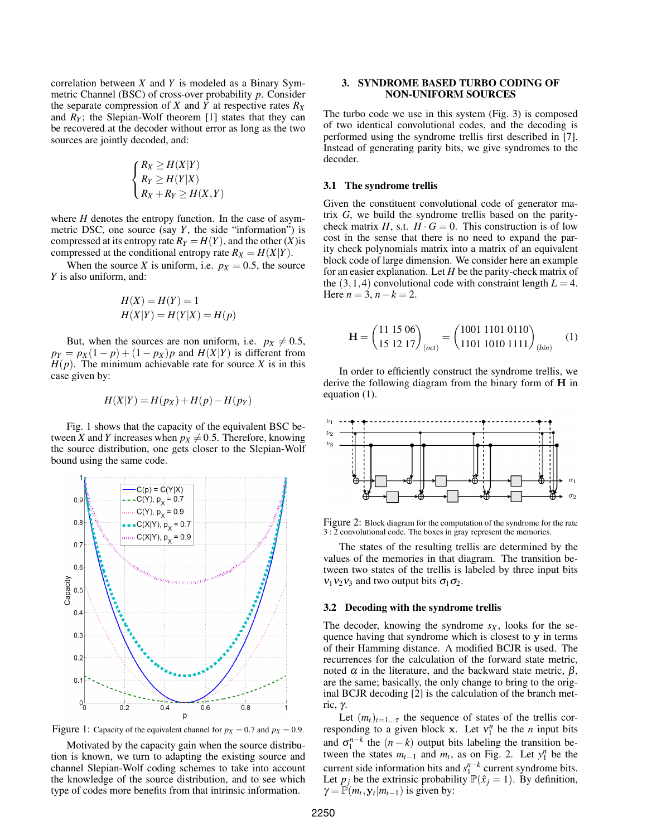correlation between *X* and *Y* is modeled as a Binary Symmetric Channel (BSC) of cross-over probability *p*. Consider the separate compression of *X* and *Y* at respective rates  $R_X$ and  $R_Y$ ; the Slepian-Wolf theorem [1] states that they can be recovered at the decoder without error as long as the two sources are jointly decoded, and:

$$
\begin{cases} R_X \ge H(X|Y) \\ R_Y \ge H(Y|X) \\ R_X + R_Y \ge H(X,Y) \end{cases}
$$

where *H* denotes the entropy function. In the case of asymmetric DSC, one source (say *Y*, the side "information") is compressed at its entropy rate  $R_Y = H(Y)$ , and the other  $(X)$  is compressed at the conditional entropy rate  $R_X = H(X|Y)$ .

When the source *X* is uniform, i.e.  $p_X = 0.5$ , the source *Y* is also uniform, and:

$$
H(X) = H(Y) = 1
$$
  

$$
H(X|Y) = H(Y|X) = H(p)
$$

But, when the sources are non uniform, i.e.  $p_X \neq 0.5$ ,  $p_Y = p_X(1 - p) + (1 - p_X)p$  and  $H(X|Y)$  is different from  $H(p)$ . The minimum achievable rate for source *X* is in this case given by:

$$
H(X|Y) = H(p_X) + H(p) - H(p_Y)
$$

Fig. 1 shows that the capacity of the equivalent BSC between *X* and *Y* increases when  $p_X \neq 0.5$ . Therefore, knowing the source distribution, one gets closer to the Slepian-Wolf bound using the same code.



Figure 1: Capacity of the equivalent channel for  $p_X = 0.7$  and  $p_X = 0.9$ .

Motivated by the capacity gain when the source distribution is known, we turn to adapting the existing source and channel Slepian-Wolf coding schemes to take into account the knowledge of the source distribution, and to see which type of codes more benefits from that intrinsic information.

## 3. SYNDROME BASED TURBO CODING OF NON-UNIFORM SOURCES

The turbo code we use in this system (Fig. 3) is composed of two identical convolutional codes, and the decoding is performed using the syndrome trellis first described in [7]. Instead of generating parity bits, we give syndromes to the decoder.

## 3.1 The syndrome trellis

Given the constituent convolutional code of generator matrix *G*, we build the syndrome trellis based on the paritycheck matrix *H*, s.t.  $H \cdot G = 0$ . This construction is of low cost in the sense that there is no need to expand the parity check polynomials matrix into a matrix of an equivalent block code of large dimension. We consider here an example for an easier explanation. Let *H* be the parity-check matrix of the  $(3,1,4)$  convolutional code with constraint length  $L = 4$ . Here  $n = 3$ ,  $n - k = 2$ .

$$
\mathbf{H} = \begin{pmatrix} 11\ 15\ 06 \\ 15\ 12\ 17 \end{pmatrix}_{(oct)} = \begin{pmatrix} 1001\ 1101\ 0110 \\ 1101\ 1010\ 1111 \end{pmatrix}_{(bin)} \quad (1)
$$

In order to efficiently construct the syndrome trellis, we derive the following diagram from the binary form of H in equation (1).



Figure 2: Block diagram for the computation of the syndrome for the rate 3 : 2 convolutional code. The boxes in gray represent the memories.

The states of the resulting trellis are determined by the values of the memories in that diagram. The transition between two states of the trellis is labeled by three input bits  $v_1v_2v_3$  and two output bits  $\sigma_1\sigma_2$ .

#### 3.2 Decoding with the syndrome trellis

The decoder, knowing the syndrome  $s_X$ , looks for the sequence having that syndrome which is closest to y in terms of their Hamming distance. A modified BCJR is used. The recurrences for the calculation of the forward state metric, noted  $\alpha$  in the literature, and the backward state metric,  $\beta$ , are the same; basically, the only change to bring to the original BCJR decoding [2] is the calculation of the branch metric, γ.

Let  $(m_t)_{t=1...T}$  the sequence of states of the trellis corresponding to a given block **x**. Let  $v_1^n$  be the *n* input bits and  $\sigma_1^{n-k}$  the  $(n-k)$  output bits labeling the transition between the states  $m_{t-1}$  and  $m_t$ , as on Fig. 2. Let  $y_1^n$  be the current side information bits and  $s_1^{n-k}$  current syndrome bits. Let  $p_j$  be the extrinsic probability  $\mathbb{P}(\hat{x}_j = 1)$ . By definition,  $\gamma = \mathbb{P}(m_t, \mathbf{y}_t | m_{t-1})$  is given by: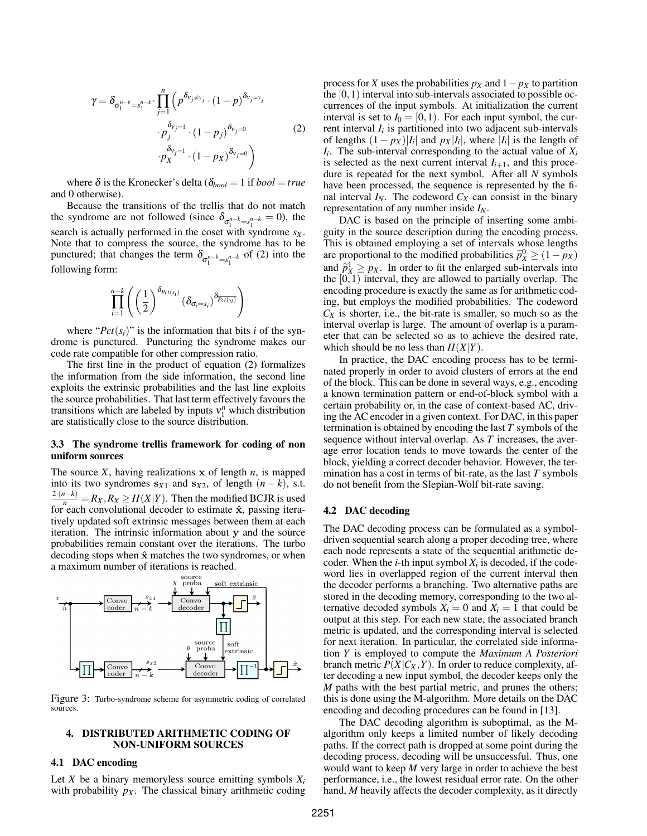$$
\gamma = \delta_{\sigma_1^{n-k} = s_1^{n-k}} \cdot \prod_{j=1}^n \left( p^{\delta_{v_j \neq y_j}} \cdot (1-p)^{\delta_{v_j = y_j}} \cdot p_j^{\delta_{v_j = 1}} \cdot (1-p_j)^{\delta_{v_j = 0}} \right)
$$
\n
$$
\cdot p_X^{\delta_{v_j = 1}} \cdot (1-p_X)^{\delta_{v_j = 0}} \right)
$$
\n(2)

where  $\delta$  is the Kronecker's delta ( $\delta_{bool} = 1$  if  $bool = true$ and 0 otherwise).

Because the transitions of the trellis that do not match the syndrome are not followed (since  $\delta_{\sigma_1^{n-k}=s_1^{n-k}}=0$ ), the search is actually performed in the coset with syndrome *s<sup>X</sup>* . Note that to compress the source, the syndrome has to be punctured; that changes the term  $\delta_{\sigma_1^{n-k}=s_1^{n-k}}$  of (2) into the following form:

$$
\prod_{i=1}^{n-k} \left( \left(\frac{1}{2}\right)^{\delta_{Pct(s_i)}} \left(\delta_{\sigma_i=s_i}\right)^{\delta_{Pct(s_i)}} \right)
$$

where " $Pct(s_i)$ " is the information that bits *i* of the syndrome is punctured. Puncturing the syndrome makes our code rate compatible for other compression ratio.

The first line in the product of equation (2) formalizes the information from the side information, the second line exploits the extrinsic probabilities and the last line exploits the source probabilities. That last term effectively favours the transitions which are labeled by inputs  $v_1^n$  which distribution are statistically close to the source distribution.

#### 3.3 The syndrome trellis framework for coding of non uniform sources

The source *X*, having realizations x of length *n*, is mapped into its two syndromes  $s_{X1}$  and  $s_{X2}$ , of length  $(n-k)$ , s.t.  $\frac{2^{n}(n-k)}{n} = R_X, R_X \ge H(X|Y)$ . Then the modified BCJR is used for each convolutional decoder to estimate  $\hat{x}$ , passing iteratively updated soft extrinsic messages between them at each iteration. The intrinsic information about y and the source probabilities remain constant over the iterations. The turbo decoding stops when  $\hat{x}$  matches the two syndromes, or when



Figure 3: Turbo-syndrome scheme for asymmetric coding of correlated sources.

#### 4. DISTRIBUTED ARITHMETIC CODING OF NON-UNIFORM SOURCES

#### 4.1 DAC encoding

Let *X* be a binary memoryless source emitting symbols  $X_i$ with probability  $p_X$ . The classical binary arithmetic coding process for *X* uses the probabilities  $p_X$  and  $1-p_X$  to partition the  $[0,1)$  interval into sub-intervals associated to possible occurrences of the input symbols. At initialization the current interval is set to  $I_0 = [0, 1)$ . For each input symbol, the current interval  $I_i$  is partitioned into two adjacent sub-intervals of lengths  $(1 - px)|I_i|$  and  $px|I_i|$ , where  $|I_i|$  is the length of  $I_i$ . The sub-interval corresponding to the actual value of  $X_i$ is selected as the next current interval  $I_{i+1}$ , and this procedure is repeated for the next symbol. After all *N* symbols have been processed, the sequence is represented by the final interval  $I_N$ . The codeword  $C_X$  can consist in the binary representation of any number inside *IN*.

DAC is based on the principle of inserting some ambiguity in the source description during the encoding process. This is obtained employing a set of intervals whose lengths are proportional to the modified probabilities  $\hat{p}_X^0 \geq (1-p_X)$ and  $\tilde{p}_X^{\dagger} \geq p_X$ . In order to fit the enlarged sub-intervals into<br>the [0, 1) interval, they are allowed to partially overlap. The the  $[0,1)$  interval, they are allowed to partially overlap. The encoding procedure is exactly the same as for arithmetic coding, but employs the modified probabilities. The codeword  $C_X$  is shorter, i.e., the bit-rate is smaller, so much so as the interval overlap is large. The amount of overlap is a parameter that can be selected so as to achieve the desired rate, which should be no less than  $H(X|Y)$ .

In practice, the DAC encoding process has to be terminated properly in order to avoid clusters of errors at the end of the block. This can be done in several ways, e.g., encoding a known termination pattern or end-of-block symbol with a certain probability or, in the case of context-based AC, driving the AC encoder in a given context. For DAC, in this paper termination is obtained by encoding the last *T* symbols of the sequence without interval overlap. As *T* increases, the average error location tends to move towards the center of the block, yielding a correct decoder behavior. However, the termination has a cost in terms of bit-rate, as the last *T* symbols do not benefit from the Slepian-Wolf bit-rate saving.

## 4.2 DAC decoding

The DAC decoding process can be formulated as a symboldriven sequential search along a proper decoding tree, where each node represents a state of the sequential arithmetic decoder. When the  $i$ -th input symbol  $X_i$  is decoded, if the codeword lies in overlapped region of the current interval then the decoder performs a branching. Two alternative paths are stored in the decoding memory, corresponding to the two alternative decoded symbols  $X_i = 0$  and  $X_i = 1$  that could be output at this step. For each new state, the associated branch metric is updated, and the corresponding interval is selected for next iteration. In particular, the correlated side information *Y* is employed to compute the *Maximum A Posteriori* branch metric  $P(X|C_X, Y)$ . In order to reduce complexity, after decoding a new input symbol, the decoder keeps only the *M* paths with the best partial metric, and prunes the others; this is done using the M-algorithm. More details on the DAC encoding and decoding procedures can be found in [13].

The DAC decoding algorithm is suboptimal, as the Malgorithm only keeps a limited number of likely decoding paths. If the correct path is dropped at some point during the decoding process, decoding will be unsuccessful. Thus, one would want to keep *M* very large in order to achieve the best performance, i.e., the lowest residual error rate. On the other hand, *M* heavily affects the decoder complexity, as it directly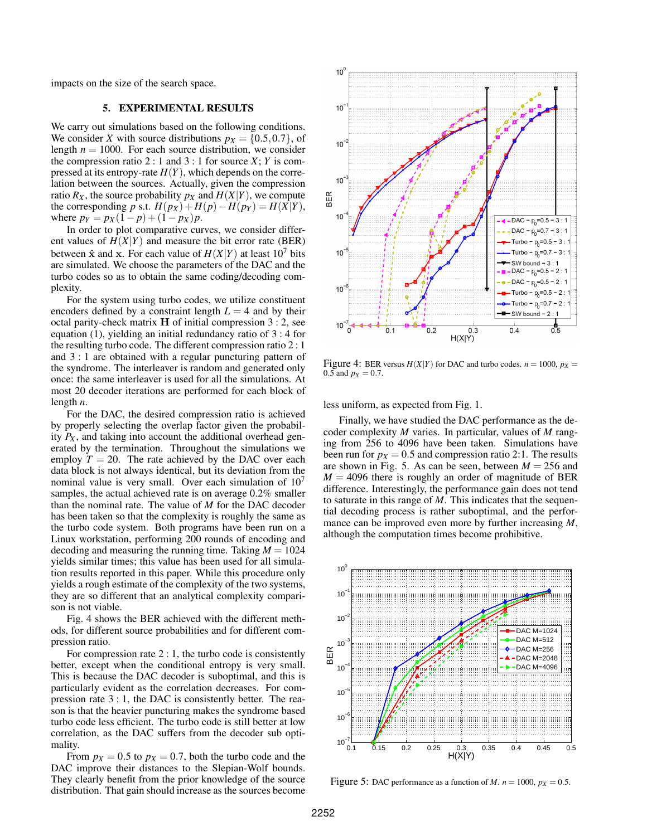impacts on the size of the search space.

## 5. EXPERIMENTAL RESULTS

We carry out simulations based on the following conditions. We consider *X* with source distributions  $p_X = \{0.5, 0.7\}$ , of length  $n = 1000$ . For each source distribution, we consider the compression ratio 2 : 1 and 3 : 1 for source  $X$ ;  $Y$  is compressed at its entropy-rate  $H(Y)$ , which depends on the correlation between the sources. Actually, given the compression ratio  $R_X$ , the source probability  $p_X$  and  $H(X|Y)$ , we compute the corresponding *p* s.t.  $H(p_X) + H(p) - H(p_Y) = H(X|Y)$ , where  $p_Y = p_X(1-p) + (1-p_X)p$ .

In order to plot comparative curves, we consider different values of  $H(X|Y)$  and measure the bit error rate (BER) between  $\hat{x}$  and  $x$ . For each value of  $H(X|Y)$  at least 10<sup>7</sup> bits are simulated. We choose the parameters of the DAC and the turbo codes so as to obtain the same coding/decoding complexity.

For the system using turbo codes, we utilize constituent encoders defined by a constraint length  $L = 4$  and by their octal parity-check matrix H of initial compression 3 : 2, see equation (1), yielding an initial redundancy ratio of 3 : 4 for the resulting turbo code. The different compression ratio 2 : 1 and 3 : 1 are obtained with a regular puncturing pattern of the syndrome. The interleaver is random and generated only once: the same interleaver is used for all the simulations. At most 20 decoder iterations are performed for each block of length *n*.

For the DAC, the desired compression ratio is achieved by properly selecting the overlap factor given the probability  $P_X$ , and taking into account the additional overhead generated by the termination. Throughout the simulations we employ  $T = 20$ . The rate achieved by the DAC over each data block is not always identical, but its deviation from the nominal value is very small. Over each simulation of  $10<sup>7</sup>$ samples, the actual achieved rate is on average  $0.2\%$  smaller than the nominal rate. The value of *M* for the DAC decoder has been taken so that the complexity is roughly the same as the turbo code system. Both programs have been run on a Linux workstation, performing 200 rounds of encoding and decoding and measuring the running time. Taking  $M = 1024$ yields similar times; this value has been used for all simulation results reported in this paper. While this procedure only yields a rough estimate of the complexity of the two systems, they are so different that an analytical complexity comparison is not viable.

Fig. 4 shows the BER achieved with the different methods, for different source probabilities and for different compression ratio.

For compression rate 2 : 1, the turbo code is consistently better, except when the conditional entropy is very small. This is because the DAC decoder is suboptimal, and this is particularly evident as the correlation decreases. For compression rate 3 : 1, the DAC is consistently better. The reason is that the heavier puncturing makes the syndrome based turbo code less efficient. The turbo code is still better at low correlation, as the DAC suffers from the decoder sub optimality.

From  $p_X = 0.5$  to  $p_X = 0.7$ , both the turbo code and the DAC improve their distances to the Slepian-Wolf bounds. They clearly benefit from the prior knowledge of the source distribution. That gain should increase as the sources become



Figure 4: BER versus  $H(X|Y)$  for DAC and turbo codes.  $n = 1000$ ,  $p_X =$ 0.5 and  $p_X = 0.7$ .

less uniform, as expected from Fig. 1.

Finally, we have studied the DAC performance as the decoder complexity *M* varies. In particular, values of *M* ranging from 256 to 4096 have been taken. Simulations have been run for  $p_X = 0.5$  and compression ratio 2:1. The results are shown in Fig. 5. As can be seen, between  $M = 256$  and  $M = 4096$  there is roughly an order of magnitude of BER difference. Interestingly, the performance gain does not tend to saturate in this range of *M*. This indicates that the sequential decoding process is rather suboptimal, and the performance can be improved even more by further increasing *M*, although the computation times become prohibitive.



Figure 5: DAC performance as a function of *M*.  $n = 1000$ ,  $p_X = 0.5$ .